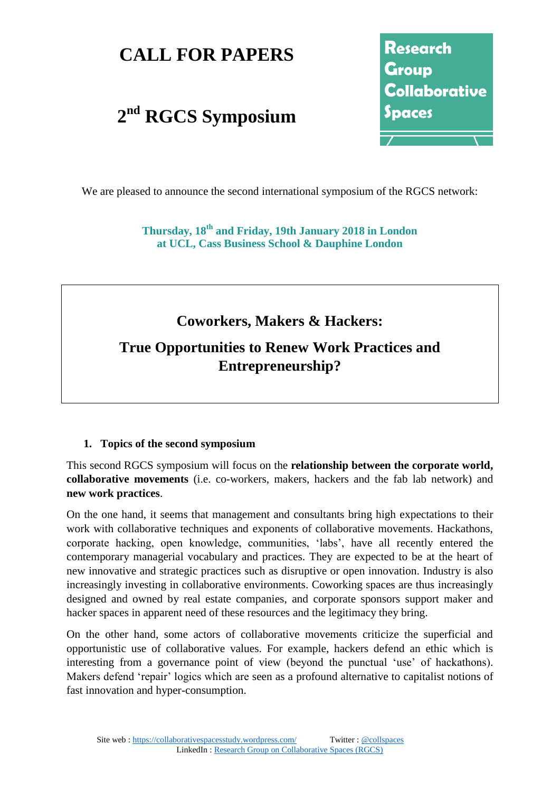## **CALL FOR PAPERS**

# **2 nd RGCS Symposium**

Research Group Collaborative Spaces

We are pleased to announce the second international symposium of the RGCS network:

**Thursday, 18th and Friday, 19th January 2018 in London at UCL, Cass Business School & Dauphine London**

### **Coworkers, Makers & Hackers:**

## **True Opportunities to Renew Work Practices and Entrepreneurship?**

#### **1. Topics of the second symposium**

This second RGCS symposium will focus on the **relationship between the corporate world, collaborative movements** (i.e. co-workers, makers, hackers and the fab lab network) and **new work practices**.

On the one hand, it seems that management and consultants bring high expectations to their work with collaborative techniques and exponents of collaborative movements. Hackathons, corporate hacking, open knowledge, communities, 'labs', have all recently entered the contemporary managerial vocabulary and practices. They are expected to be at the heart of new innovative and strategic practices such as disruptive or open innovation. Industry is also increasingly investing in collaborative environments. Coworking spaces are thus increasingly designed and owned by real estate companies, and corporate sponsors support maker and hacker spaces in apparent need of these resources and the legitimacy they bring.

On the other hand, some actors of collaborative movements criticize the superficial and opportunistic use of collaborative values. For example, hackers defend an ethic which is interesting from a governance point of view (beyond the punctual 'use' of hackathons). Makers defend 'repair' logics which are seen as a profound alternative to capitalist notions of fast innovation and hyper-consumption.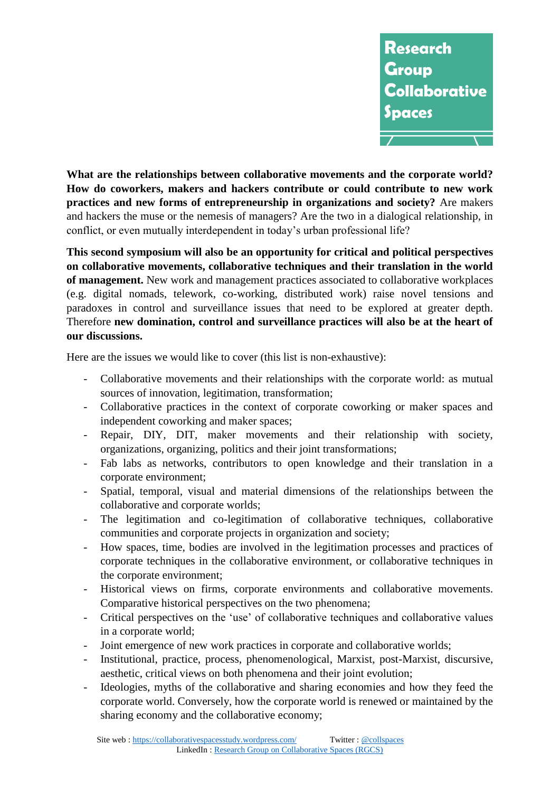

**What are the relationships between collaborative movements and the corporate world? How do coworkers, makers and hackers contribute or could contribute to new work practices and new forms of entrepreneurship in organizations and society?** Are makers and hackers the muse or the nemesis of managers? Are the two in a dialogical relationship, in conflict, or even mutually interdependent in today's urban professional life?

**This second symposium will also be an opportunity for critical and political perspectives on collaborative movements, collaborative techniques and their translation in the world of management.** New work and management practices associated to collaborative workplaces (e.g. digital nomads, telework, co-working, distributed work) raise novel tensions and paradoxes in control and surveillance issues that need to be explored at greater depth. Therefore **new domination, control and surveillance practices will also be at the heart of our discussions.** 

Here are the issues we would like to cover (this list is non-exhaustive):

- Collaborative movements and their relationships with the corporate world: as mutual sources of innovation, legitimation, transformation;
- Collaborative practices in the context of corporate coworking or maker spaces and independent coworking and maker spaces;
- Repair, DIY, DIT, maker movements and their relationship with society, organizations, organizing, politics and their joint transformations;
- Fab labs as networks, contributors to open knowledge and their translation in a corporate environment;
- Spatial, temporal, visual and material dimensions of the relationships between the collaborative and corporate worlds;
- The legitimation and co-legitimation of collaborative techniques, collaborative communities and corporate projects in organization and society;
- How spaces, time, bodies are involved in the legitimation processes and practices of corporate techniques in the collaborative environment, or collaborative techniques in the corporate environment;
- Historical views on firms, corporate environments and collaborative movements. Comparative historical perspectives on the two phenomena;
- Critical perspectives on the 'use' of collaborative techniques and collaborative values in a corporate world;
- Joint emergence of new work practices in corporate and collaborative worlds;
- Institutional, practice, process, phenomenological, Marxist, post-Marxist, discursive, aesthetic, critical views on both phenomena and their joint evolution;
- Ideologies, myths of the collaborative and sharing economies and how they feed the corporate world. Conversely, how the corporate world is renewed or maintained by the sharing economy and the collaborative economy;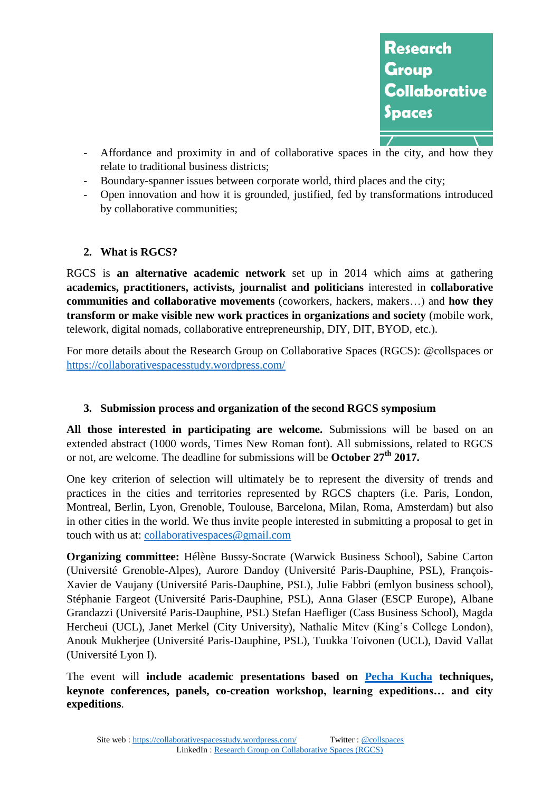

- Affordance and proximity in and of collaborative spaces in the city, and how they relate to traditional business districts;
- Boundary-spanner issues between corporate world, third places and the city;
- Open innovation and how it is grounded, justified, fed by transformations introduced by collaborative communities;

#### **2. What is RGCS?**

RGCS is **an alternative academic network** set up in 2014 which aims at gathering **academics, practitioners, activists, journalist and politicians** interested in **collaborative communities and collaborative movements** (coworkers, hackers, makers…) and **how they transform or make visible new work practices in organizations and society** (mobile work, telework, digital nomads, collaborative entrepreneurship, DIY, DIT, BYOD, etc.).

For more details about the Research Group on Collaborative Spaces (RGCS): @collspaces or <https://collaborativespacesstudy.wordpress.com/>

#### **3. Submission process and organization of the second RGCS symposium**

**All those interested in participating are welcome.** Submissions will be based on an extended abstract (1000 words, Times New Roman font). All submissions, related to RGCS or not, are welcome. The deadline for submissions will be **October 27th 2017.**

One key criterion of selection will ultimately be to represent the diversity of trends and practices in the cities and territories represented by RGCS chapters (i.e. Paris, London, Montreal, Berlin, Lyon, Grenoble, Toulouse, Barcelona, Milan, Roma, Amsterdam) but also in other cities in the world. We thus invite people interested in submitting a proposal to get in touch with us at: [collaborativespaces@gmail.com](mailto:collaborativespaces@gmail.com) 

**Organizing committee:** Hélène Bussy-Socrate (Warwick Business School), Sabine Carton (Université Grenoble-Alpes), Aurore Dandoy (Université Paris-Dauphine, PSL), François-Xavier de Vaujany (Université Paris-Dauphine, PSL), Julie Fabbri (emlyon business school), Stéphanie Fargeot (Université Paris-Dauphine, PSL), Anna Glaser (ESCP Europe), Albane Grandazzi (Université Paris-Dauphine, PSL) Stefan Haefliger (Cass Business School), Magda Hercheui (UCL), Janet Merkel (City University), Nathalie Mitev (King's College London), Anouk Mukherjee (Université Paris-Dauphine, PSL), Tuukka Toivonen (UCL), David Vallat (Université Lyon I).

The event will **include academic presentations based on [Pecha Kucha](https://collaborativespacesstudy.wordpress.com/1st-symposium-rgcs/practical-informations/) techniques, keynote conferences, panels, co-creation workshop, learning expeditions… and city expeditions**.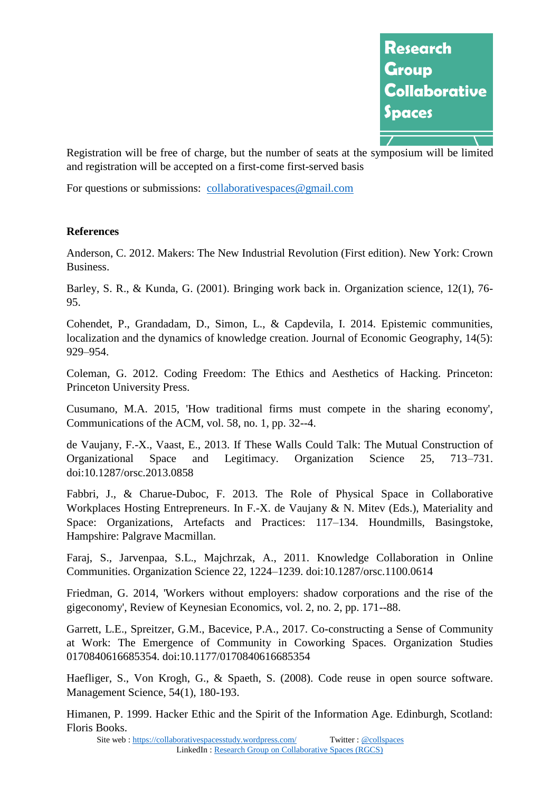

Registration will be free of charge, but the number of seats at the symposium will be limited and registration will be accepted on a first-come first-served basis

For questions or submissions: [collaborativespaces@gmail.com](mailto:collaborativespaces@gmail.com)

#### **References**

Anderson, C. 2012. Makers: The New Industrial Revolution (First edition). New York: Crown Business.

Barley, S. R., & Kunda, G. (2001). Bringing work back in. Organization science, 12(1), 76- 95.

Cohendet, P., Grandadam, D., Simon, L., & Capdevila, I. 2014. Epistemic communities, localization and the dynamics of knowledge creation. Journal of Economic Geography, 14(5): 929–954.

Coleman, G. 2012. Coding Freedom: The Ethics and Aesthetics of Hacking. Princeton: Princeton University Press.

Cusumano, M.A. 2015, 'How traditional firms must compete in the sharing economy', Communications of the ACM, vol. 58, no. 1, pp. 32--4.

de Vaujany, F.-X., Vaast, E., 2013. If These Walls Could Talk: The Mutual Construction of Organizational Space and Legitimacy. Organization Science 25, 713–731. doi:10.1287/orsc.2013.0858

Fabbri, J., & Charue-Duboc, F. 2013. The Role of Physical Space in Collaborative Workplaces Hosting Entrepreneurs. In F.-X. de Vaujany & N. Mitev (Eds.), Materiality and Space: Organizations, Artefacts and Practices: 117–134. Houndmills, Basingstoke, Hampshire: Palgrave Macmillan.

Faraj, S., Jarvenpaa, S.L., Majchrzak, A., 2011. Knowledge Collaboration in Online Communities. Organization Science 22, 1224–1239. doi:10.1287/orsc.1100.0614

Friedman, G. 2014, 'Workers without employers: shadow corporations and the rise of the gigeconomy', Review of Keynesian Economics, vol. 2, no. 2, pp. 171--88.

Garrett, L.E., Spreitzer, G.M., Bacevice, P.A., 2017. Co-constructing a Sense of Community at Work: The Emergence of Community in Coworking Spaces. Organization Studies 0170840616685354. doi:10.1177/0170840616685354

Haefliger, S., Von Krogh, G., & Spaeth, S. (2008). Code reuse in open source software. Management Science, 54(1), 180-193.

Himanen, P. 1999. Hacker Ethic and the Spirit of the Information Age. Edinburgh, Scotland: Floris Books.